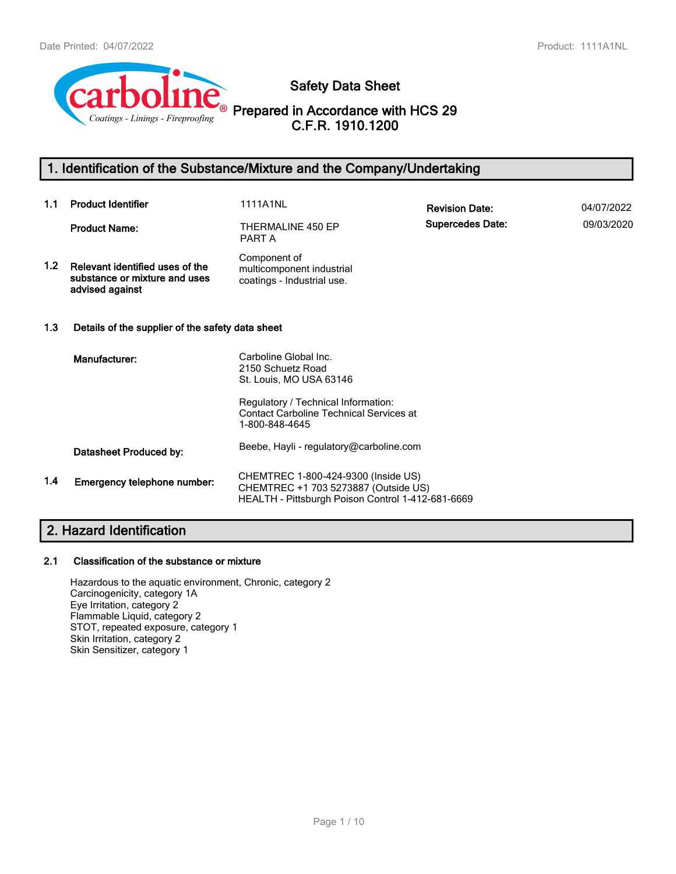

**Safety Data Sheet**

**Prepared in Accordance with HCS 29 C.F.R. 1910.1200**

# **1. Identification of the Substance/Mixture and the Company/Undertaking**

| 1.1              | <b>Product Identifier</b>                                                           | <b>1111A1NL</b>                                                                                                                  | <b>Revision Date:</b>   | 04/07/2022 |
|------------------|-------------------------------------------------------------------------------------|----------------------------------------------------------------------------------------------------------------------------------|-------------------------|------------|
|                  | <b>Product Name:</b>                                                                | THERMALINE 450 EP<br>PART A                                                                                                      | <b>Supercedes Date:</b> | 09/03/2020 |
| 1.2 <sub>2</sub> | Relevant identified uses of the<br>substance or mixture and uses<br>advised against | Component of<br>multicomponent industrial<br>coatings - Industrial use.                                                          |                         |            |
| 1.3              | Details of the supplier of the safety data sheet                                    |                                                                                                                                  |                         |            |
|                  | Manufacturer:                                                                       | Carboline Global Inc.<br>2150 Schuetz Road<br>St. Louis, MO USA 63146                                                            |                         |            |
|                  |                                                                                     | Regulatory / Technical Information:<br><b>Contact Carboline Technical Services at</b><br>1-800-848-4645                          |                         |            |
|                  | Datasheet Produced by:                                                              | Beebe, Hayli - regulatory@carboline.com                                                                                          |                         |            |
| 1.4              | Emergency telephone number:                                                         | CHEMTREC 1-800-424-9300 (Inside US)<br>CHEMTREC +1 703 5273887 (Outside US)<br>HEALTH - Pittsburgh Poison Control 1-412-681-6669 |                         |            |

# **2. Hazard Identification**

## **2.1 Classification of the substance or mixture**

Hazardous to the aquatic environment, Chronic, category 2 Carcinogenicity, category 1A Eye Irritation, category 2 Flammable Liquid, category 2 STOT, repeated exposure, category 1 Skin Irritation, category 2 Skin Sensitizer, category 1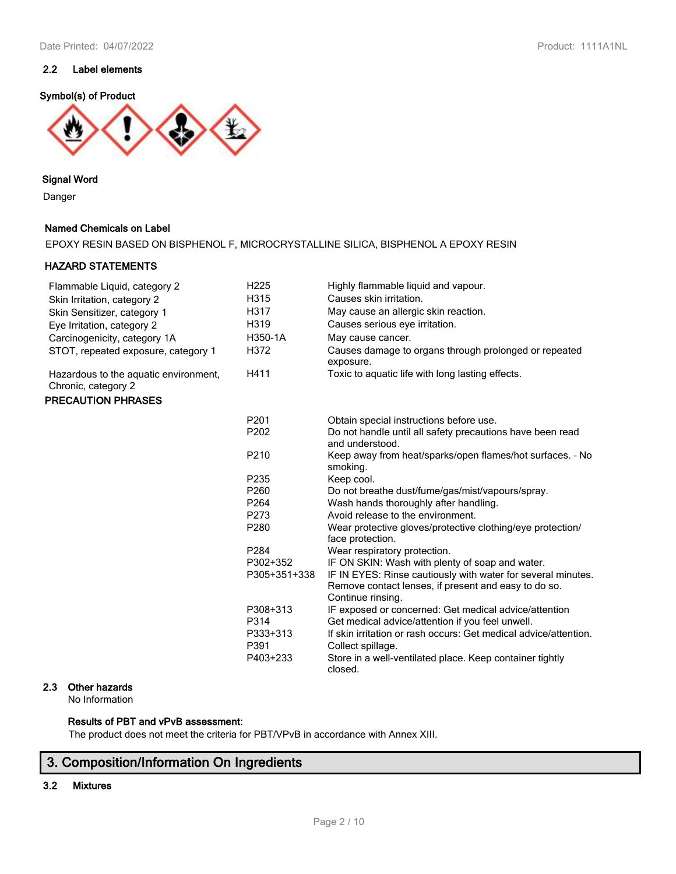## **2.2 Label elements**

### **Symbol(s) of Product**



### **Signal Word**

Danger

### **Named Chemicals on Label**

EPOXY RESIN BASED ON BISPHENOL F, MICROCRYSTALLINE SILICA, BISPHENOL A EPOXY RESIN

## **HAZARD STATEMENTS**

| Flammable Liquid, category 2                                 | H <sub>225</sub> | Highly flammable liquid and vapour.                                            |
|--------------------------------------------------------------|------------------|--------------------------------------------------------------------------------|
| Skin Irritation, category 2                                  | H315             | Causes skin irritation.                                                        |
| Skin Sensitizer, category 1                                  | H317             | May cause an allergic skin reaction.                                           |
| Eye Irritation, category 2                                   | H319             | Causes serious eye irritation.                                                 |
| Carcinogenicity, category 1A                                 | H350-1A          | May cause cancer.                                                              |
| STOT, repeated exposure, category 1                          | H372             | Causes damage to organs through prolonged or repeated<br>exposure.             |
| Hazardous to the aquatic environment,<br>Chronic, category 2 | H411             | Toxic to aquatic life with long lasting effects.                               |
| <b>PRECAUTION PHRASES</b>                                    |                  |                                                                                |
|                                                              | P201             | Obtain special instructions before use.                                        |
|                                                              | P202             | Do not handle until all safety precautions have been read<br>and understood.   |
|                                                              | P210             | Keep away from heat/sparks/open flames/hot surfaces. - No<br>smoking.          |
|                                                              | P235             | Keep cool.                                                                     |
|                                                              | P260             | Do not breathe dust/fume/gas/mist/vapours/spray.                               |
|                                                              | P264             | Wash hands thoroughly after handling.                                          |
|                                                              | P273             | Avoid release to the environment.                                              |
|                                                              | P280             | Wear protective gloves/protective clothing/eye protection/<br>face protection. |
|                                                              | P284             | Wear respiratory protection.                                                   |
|                                                              | P302+352         | IF ON SKIN: Wash with plenty of soap and water.                                |
|                                                              | P305+351+338     | IF IN EYES: Rinse cautiously with water for several minutes.                   |
|                                                              |                  | Remove contact lenses, if present and easy to do so.<br>Continue rinsing.      |
|                                                              | P308+313         | IF exposed or concerned: Get medical advice/attention                          |
|                                                              | P314             | Get medical advice/attention if you feel unwell.                               |
|                                                              | P333+313         | If skin irritation or rash occurs: Get medical advice/attention.               |
|                                                              | P391             | Collect spillage.                                                              |
|                                                              | P403+233         | Store in a well-ventilated place. Keep container tightly<br>closed.            |

# **2.3 Other hazards**

No Information

### **Results of PBT and vPvB assessment:**

The product does not meet the criteria for PBT/VPvB in accordance with Annex XIII.

# **3. Composition/Information On Ingredients**

### **3.2 Mixtures**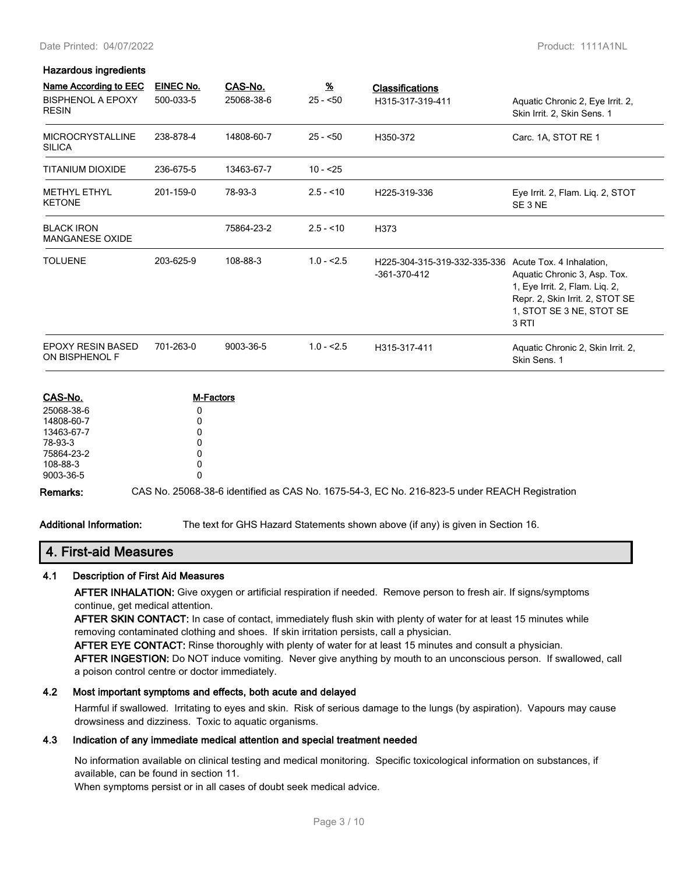#### Date Printed: 04/07/2022 Product: 1111A1NL

# **Hazardous ingredients**

| <b>Name According to EEC</b>                | <b>EINEC No.</b> | CAS-No.          | $\underline{\mathcal{H}}$ | <b>Classifications</b>                         |                                                                                                                                                                    |
|---------------------------------------------|------------------|------------------|---------------------------|------------------------------------------------|--------------------------------------------------------------------------------------------------------------------------------------------------------------------|
| <b>BISPHENOL A EPOXY</b><br><b>RESIN</b>    | 500-033-5        | 25068-38-6       | $25 - 50$                 | H315-317-319-411                               | Aquatic Chronic 2, Eye Irrit. 2,<br>Skin Irrit. 2, Skin Sens. 1                                                                                                    |
| <b>MICROCRYSTALLINE</b><br><b>SILICA</b>    | 238-878-4        | 14808-60-7       | $25 - 50$                 | H350-372                                       | Carc. 1A, STOT RE 1                                                                                                                                                |
| <b>TITANIUM DIOXIDE</b>                     | 236-675-5        | 13463-67-7       | $10 - 25$                 |                                                |                                                                                                                                                                    |
| <b>METHYL ETHYL</b><br><b>KETONE</b>        | 201-159-0        | 78-93-3          | $2.5 - 10$                | H225-319-336                                   | Eye Irrit. 2, Flam. Liq. 2, STOT<br>SE 3 NE                                                                                                                        |
| <b>BLACK IRON</b><br><b>MANGANESE OXIDE</b> |                  | 75864-23-2       | $2.5 - 10$                | H373                                           |                                                                                                                                                                    |
| <b>TOLUENE</b>                              | 203-625-9        | 108-88-3         | $1.0 - 2.5$               | H225-304-315-319-332-335-336<br>$-361-370-412$ | Acute Tox. 4 Inhalation,<br>Aquatic Chronic 3, Asp. Tox.<br>1, Eye Irrit. 2, Flam. Lig. 2,<br>Repr. 2, Skin Irrit. 2, STOT SE<br>1, STOT SE 3 NE, STOT SE<br>3 RTI |
| <b>EPOXY RESIN BASED</b><br>ON BISPHENOL F  | 701-263-0        | 9003-36-5        | $1.0 - 2.5$               | H315-317-411                                   | Aquatic Chronic 2, Skin Irrit. 2,<br>Skin Sens. 1                                                                                                                  |
| CAS-No                                      |                  | <b>M-Factore</b> |                           |                                                |                                                                                                                                                                    |

| CAS-No.    | <b>M-Factors</b>                                                                              |
|------------|-----------------------------------------------------------------------------------------------|
| 25068-38-6 |                                                                                               |
| 14808-60-7 |                                                                                               |
| 13463-67-7 |                                                                                               |
| 78-93-3    |                                                                                               |
| 75864-23-2 |                                                                                               |
| 108-88-3   |                                                                                               |
| 9003-36-5  |                                                                                               |
| Remarks:   | CAS No. 25068-38-6 identified as CAS No. 1675-54-3, EC No. 216-823-5 under REACH Registration |

**Additional Information:** The text for GHS Hazard Statements shown above (if any) is given in Section 16.

## **4. First-aid Measures**

#### **4.1 Description of First Aid Measures**

**AFTER INHALATION:** Give oxygen or artificial respiration if needed. Remove person to fresh air. If signs/symptoms continue, get medical attention.

**AFTER SKIN CONTACT:** In case of contact, immediately flush skin with plenty of water for at least 15 minutes while removing contaminated clothing and shoes. If skin irritation persists, call a physician.

**AFTER EYE CONTACT:** Rinse thoroughly with plenty of water for at least 15 minutes and consult a physician.

**AFTER INGESTION:** Do NOT induce vomiting. Never give anything by mouth to an unconscious person. If swallowed, call a poison control centre or doctor immediately.

#### **4.2 Most important symptoms and effects, both acute and delayed**

Harmful if swallowed. Irritating to eyes and skin. Risk of serious damage to the lungs (by aspiration). Vapours may cause drowsiness and dizziness. Toxic to aquatic organisms.

### **4.3 Indication of any immediate medical attention and special treatment needed**

No information available on clinical testing and medical monitoring. Specific toxicological information on substances, if available, can be found in section 11.

When symptoms persist or in all cases of doubt seek medical advice.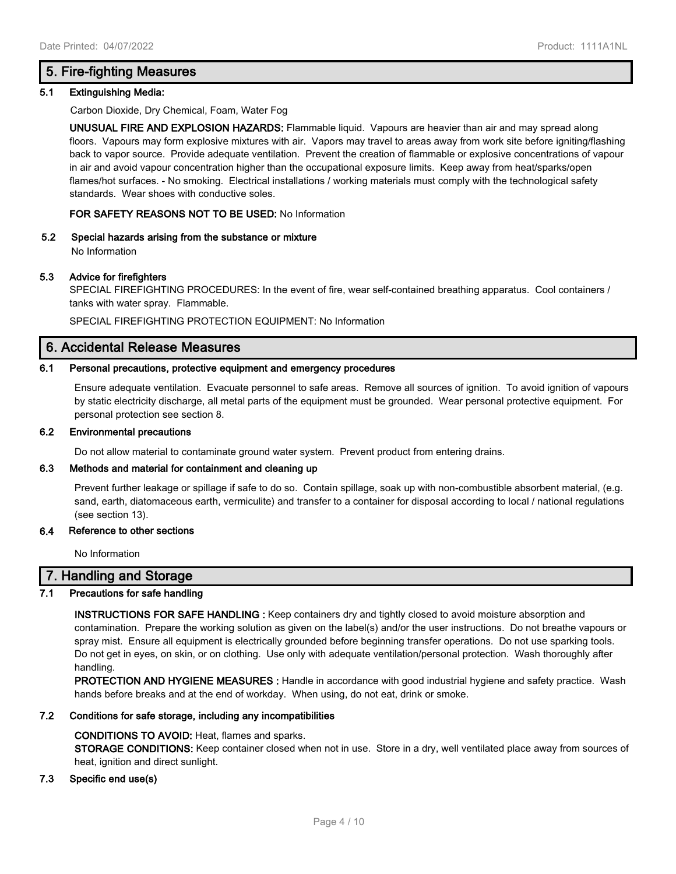# **5. Fire-fighting Measures**

#### **5.1 Extinguishing Media:**

Carbon Dioxide, Dry Chemical, Foam, Water Fog

**UNUSUAL FIRE AND EXPLOSION HAZARDS:** Flammable liquid. Vapours are heavier than air and may spread along floors. Vapours may form explosive mixtures with air. Vapors may travel to areas away from work site before igniting/flashing back to vapor source. Provide adequate ventilation. Prevent the creation of flammable or explosive concentrations of vapour in air and avoid vapour concentration higher than the occupational exposure limits. Keep away from heat/sparks/open flames/hot surfaces. - No smoking. Electrical installations / working materials must comply with the technological safety standards. Wear shoes with conductive soles.

### **FOR SAFETY REASONS NOT TO BE USED:** No Information

**5.2 Special hazards arising from the substance or mixture**

No Information

#### **5.3 Advice for firefighters**

SPECIAL FIREFIGHTING PROCEDURES: In the event of fire, wear self-contained breathing apparatus. Cool containers / tanks with water spray. Flammable.

SPECIAL FIREFIGHTING PROTECTION EQUIPMENT: No Information

## **6. Accidental Release Measures**

#### **6.1 Personal precautions, protective equipment and emergency procedures**

Ensure adequate ventilation. Evacuate personnel to safe areas. Remove all sources of ignition. To avoid ignition of vapours by static electricity discharge, all metal parts of the equipment must be grounded. Wear personal protective equipment. For personal protection see section 8.

#### **6.2 Environmental precautions**

Do not allow material to contaminate ground water system. Prevent product from entering drains.

### **6.3 Methods and material for containment and cleaning up**

Prevent further leakage or spillage if safe to do so. Contain spillage, soak up with non-combustible absorbent material, (e.g. sand, earth, diatomaceous earth, vermiculite) and transfer to a container for disposal according to local / national regulations (see section 13).

#### **6.4 Reference to other sections**

No Information

## **7. Handling and Storage**

## **7.1 Precautions for safe handling**

**INSTRUCTIONS FOR SAFE HANDLING :** Keep containers dry and tightly closed to avoid moisture absorption and contamination. Prepare the working solution as given on the label(s) and/or the user instructions. Do not breathe vapours or spray mist. Ensure all equipment is electrically grounded before beginning transfer operations. Do not use sparking tools. Do not get in eyes, on skin, or on clothing. Use only with adequate ventilation/personal protection. Wash thoroughly after handling.

**PROTECTION AND HYGIENE MEASURES :** Handle in accordance with good industrial hygiene and safety practice. Wash hands before breaks and at the end of workday. When using, do not eat, drink or smoke.

#### **7.2 Conditions for safe storage, including any incompatibilities**

#### **CONDITIONS TO AVOID:** Heat, flames and sparks.

**STORAGE CONDITIONS:** Keep container closed when not in use. Store in a dry, well ventilated place away from sources of heat, ignition and direct sunlight.

## **7.3 Specific end use(s)**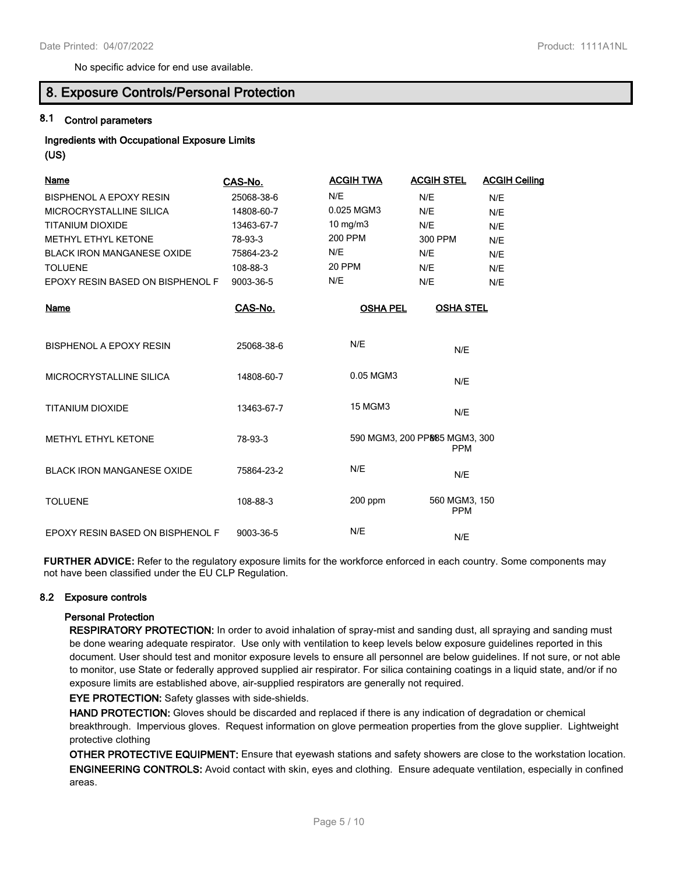No specific advice for end use available.

# **8. Exposure Controls/Personal Protection**

# **8.1 Control parameters**

**Ingredients with Occupational Exposure Limits (US)**

| Name                              | CAS-No.    | <b>ACGIH TWA</b>  | <b>ACGIH STEL</b>                           | <b>ACGIH Ceiling</b> |
|-----------------------------------|------------|-------------------|---------------------------------------------|----------------------|
| BISPHENOL A EPOXY RESIN           | 25068-38-6 | N/E               | N/E                                         | N/E                  |
| MICROCRYSTALLINE SILICA           | 14808-60-7 | 0.025 MGM3        | N/E                                         | N/E                  |
| TITANIUM DIOXIDE                  | 13463-67-7 | $10 \text{ mg/m}$ | N/E                                         | N/E                  |
| METHYL ETHYL KETONE               | 78-93-3    | 200 PPM           | 300 PPM                                     | N/E                  |
| <b>BLACK IRON MANGANESE OXIDE</b> | 75864-23-2 | N/E               | N/E                                         | N/E                  |
| <b>TOLUENE</b>                    | 108-88-3   | 20 PPM            | N/E                                         | N/E                  |
| EPOXY RESIN BASED ON BISPHENOL F  | 9003-36-5  | N/E               | N/E                                         | N/E                  |
| Name                              | CAS-No.    | <b>OSHA PEL</b>   | <b>OSHA STEL</b>                            |                      |
| <b>BISPHENOL A EPOXY RESIN</b>    | 25068-38-6 | N/E               | N/E                                         |                      |
| MICROCRYSTALLINE SILICA           | 14808-60-7 | 0.05 MGM3         | N/E                                         |                      |
| <b>TITANIUM DIOXIDE</b>           | 13463-67-7 | <b>15 MGM3</b>    | N/E                                         |                      |
| <b>METHYL ETHYL KETONE</b>        | 78-93-3    |                   | 590 MGM3, 200 PP885 MGM3, 300<br><b>PPM</b> |                      |
| <b>BLACK IRON MANGANESE OXIDE</b> | 75864-23-2 | N/E               | N/E                                         |                      |
| <b>TOLUENE</b>                    | 108-88-3   | $200$ ppm         | 560 MGM3, 150<br><b>PPM</b>                 |                      |
| EPOXY RESIN BASED ON BISPHENOL F  | 9003-36-5  | N/E               | N/E                                         |                      |

**FURTHER ADVICE:** Refer to the regulatory exposure limits for the workforce enforced in each country. Some components may not have been classified under the EU CLP Regulation.

#### **8.2 Exposure controls**

#### **Personal Protection**

**RESPIRATORY PROTECTION:** In order to avoid inhalation of spray-mist and sanding dust, all spraying and sanding must be done wearing adequate respirator. Use only with ventilation to keep levels below exposure guidelines reported in this document. User should test and monitor exposure levels to ensure all personnel are below guidelines. If not sure, or not able to monitor, use State or federally approved supplied air respirator. For silica containing coatings in a liquid state, and/or if no exposure limits are established above, air-supplied respirators are generally not required.

**EYE PROTECTION:** Safety glasses with side-shields.

**HAND PROTECTION:** Gloves should be discarded and replaced if there is any indication of degradation or chemical breakthrough. Impervious gloves. Request information on glove permeation properties from the glove supplier. Lightweight protective clothing

**OTHER PROTECTIVE EQUIPMENT:** Ensure that eyewash stations and safety showers are close to the workstation location. **ENGINEERING CONTROLS:** Avoid contact with skin, eyes and clothing. Ensure adequate ventilation, especially in confined areas.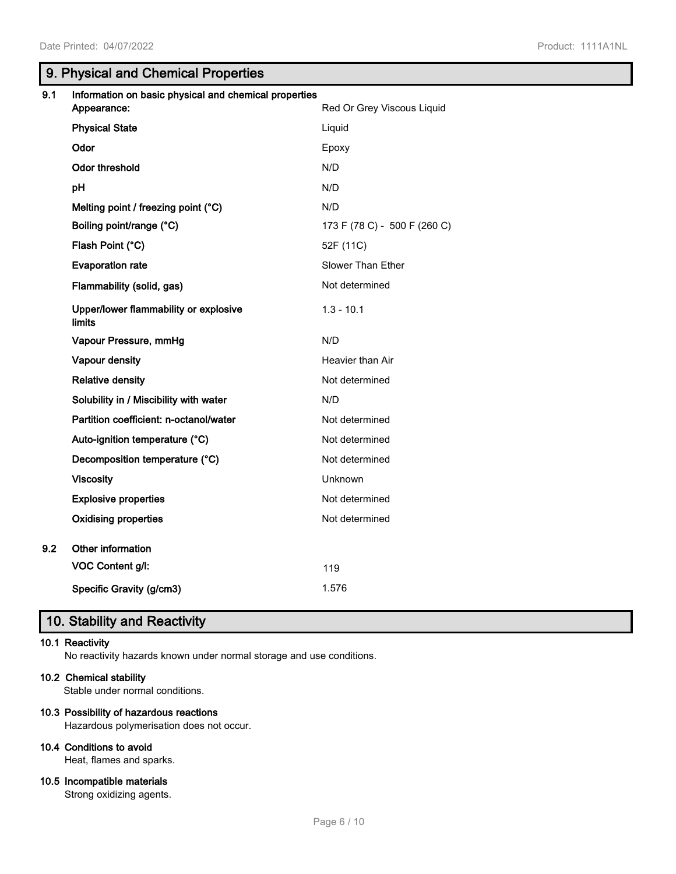# **9. Physical and Chemical Properties**

| 9.1 | Information on basic physical and chemical properties<br>Appearance: | Red Or Grey Viscous Liquid   |
|-----|----------------------------------------------------------------------|------------------------------|
|     | <b>Physical State</b>                                                | Liquid                       |
|     | Odor                                                                 | Epoxy                        |
|     | Odor threshold                                                       | N/D                          |
|     | рH                                                                   | N/D                          |
|     | Melting point / freezing point (°C)                                  | N/D                          |
|     | Boiling point/range (°C)                                             | 173 F (78 C) - 500 F (260 C) |
|     | Flash Point (°C)                                                     | 52F (11C)                    |
|     | <b>Evaporation rate</b>                                              | Slower Than Ether            |
|     | Flammability (solid, gas)                                            | Not determined               |
|     | Upper/lower flammability or explosive<br><b>limits</b>               | $1.3 - 10.1$                 |
|     | Vapour Pressure, mmHg                                                | N/D                          |
|     | Vapour density                                                       | Heavier than Air             |
|     | <b>Relative density</b>                                              | Not determined               |
|     | Solubility in / Miscibility with water                               | N/D                          |
|     | Partition coefficient: n-octanol/water                               | Not determined               |
|     | Auto-ignition temperature (°C)                                       | Not determined               |
|     | Decomposition temperature (°C)                                       | Not determined               |
|     | <b>Viscosity</b>                                                     | Unknown                      |
|     | <b>Explosive properties</b>                                          | Not determined               |
|     | <b>Oxidising properties</b>                                          | Not determined               |
| 9.2 | Other information                                                    |                              |
|     | VOC Content g/l:                                                     | 119                          |
|     | Specific Gravity (g/cm3)                                             | 1.576                        |

# **10. Stability and Reactivity**

## **10.1 Reactivity**

No reactivity hazards known under normal storage and use conditions.

#### **10.2 Chemical stability**

Stable under normal conditions.

#### **10.3 Possibility of hazardous reactions**

Hazardous polymerisation does not occur.

# **10.4 Conditions to avoid**

Heat, flames and sparks.

#### **10.5 Incompatible materials**

Strong oxidizing agents.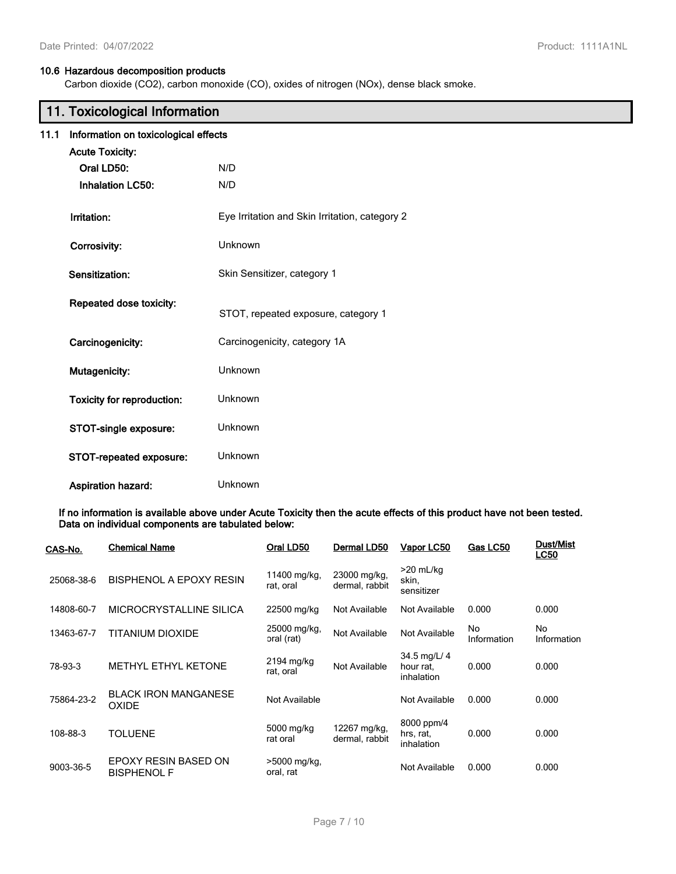## **10.6 Hazardous decomposition products**

Carbon dioxide (CO2), carbon monoxide (CO), oxides of nitrogen (NOx), dense black smoke.

# **11. Toxicological Information**

|  | 11.1 Information on toxicological effects |  |
|--|-------------------------------------------|--|
|  |                                           |  |

| <b>Acute Toxicity:</b>                                     |                                                |
|------------------------------------------------------------|------------------------------------------------|
| Oral LD50:                                                 | N/D                                            |
| <b>Inhalation LC50:</b>                                    | N/D                                            |
| Irritation:                                                | Eye Irritation and Skin Irritation, category 2 |
| Corrosivity:                                               | Unknown                                        |
| Sensitization:                                             | Skin Sensitizer, category 1                    |
| Repeated dose toxicity:                                    | STOT, repeated exposure, category 1            |
| Carcinogenicity:                                           | Carcinogenicity, category 1A                   |
| Mutagenicity:                                              | Unknown                                        |
| <b>Toxicity for reproduction:</b><br>STOT-single exposure: | Unknown<br>Unknown                             |
| STOT-repeated exposure:                                    | Unknown                                        |
| <b>Aspiration hazard:</b>                                  | Unknown                                        |

**If no information is available above under Acute Toxicity then the acute effects of this product have not been tested. Data on individual components are tabulated below:**

| CAS-No.    | <b>Chemical Name</b>                        | Oral LD50                  | Dermal LD50                    | Vapor LC50                              | Gas LC50          | <b>Dust/Mist</b><br><b>LC50</b> |
|------------|---------------------------------------------|----------------------------|--------------------------------|-----------------------------------------|-------------------|---------------------------------|
| 25068-38-6 | BISPHENOL A EPOXY RESIN                     | 11400 mg/kg,<br>rat, oral  | 23000 mg/kg,<br>dermal, rabbit | $>20$ mL/kg<br>skin,<br>sensitizer      |                   |                                 |
| 14808-60-7 | MICROCRYSTALLINE SILICA                     | 22500 mg/kg                | Not Available                  | Not Available                           | 0.000             | 0.000                           |
| 13463-67-7 | TITANIUM DIOXIDE                            | 25000 mg/kg,<br>oral (rat) | Not Available                  | Not Available                           | No<br>Information | No<br>Information               |
| 78-93-3    | <b>METHYL ETHYL KETONE</b>                  | 2194 mg/kg<br>rat, oral    | Not Available                  | 34.5 mg/L/ 4<br>hour rat.<br>inhalation | 0.000             | 0.000                           |
| 75864-23-2 | <b>BLACK IRON MANGANESE</b><br><b>OXIDE</b> | Not Available              |                                | Not Available                           | 0.000             | 0.000                           |
| 108-88-3   | <b>TOLUENE</b>                              | 5000 mg/kg<br>rat oral     | 12267 mg/kg,<br>dermal, rabbit | 8000 ppm/4<br>hrs, rat,<br>inhalation   | 0.000             | 0.000                           |
| 9003-36-5  | EPOXY RESIN BASED ON<br><b>BISPHENOL F</b>  | >5000 mg/kg,<br>oral, rat  |                                | Not Available                           | 0.000             | 0.000                           |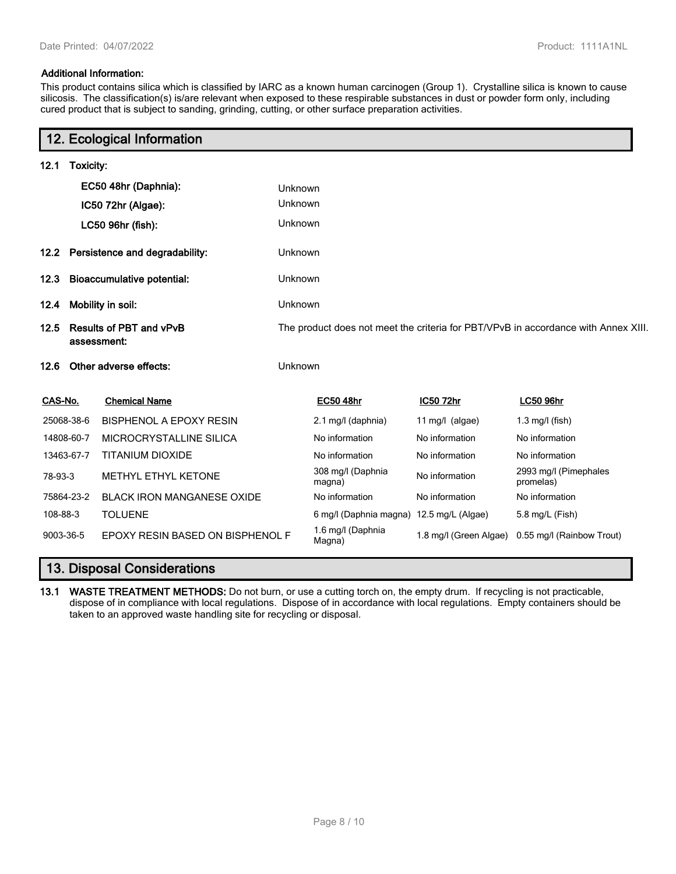### **Additional Information:**

This product contains silica which is classified by IARC as a known human carcinogen (Group 1). Crystalline silica is known to cause silicosis. The classification(s) is/are relevant when exposed to these respirable substances in dust or powder form only, including cured product that is subject to sanding, grinding, cutting, or other surface preparation activities.

# **12. Ecological Information**

| 12.1      | Toxicity:                                     |                                   |                                                                                    |                                          |                   |                                                  |  |
|-----------|-----------------------------------------------|-----------------------------------|------------------------------------------------------------------------------------|------------------------------------------|-------------------|--------------------------------------------------|--|
|           |                                               | EC50 48hr (Daphnia):              | Unknown                                                                            |                                          |                   |                                                  |  |
|           |                                               | IC50 72hr (Algae):                | Unknown                                                                            |                                          |                   |                                                  |  |
|           |                                               | LC50 96hr (fish):                 | Unknown                                                                            |                                          |                   |                                                  |  |
| 12.2      |                                               | Persistence and degradability:    | Unknown                                                                            |                                          |                   |                                                  |  |
| 12.3      |                                               | <b>Bioaccumulative potential:</b> | Unknown                                                                            |                                          |                   |                                                  |  |
| 12.4      |                                               | Mobility in soil:                 | Unknown                                                                            |                                          |                   |                                                  |  |
| 12.5      | <b>Results of PBT and vPvB</b><br>assessment: |                                   | The product does not meet the criteria for PBT/VPvB in accordance with Annex XIII. |                                          |                   |                                                  |  |
| 12.6      |                                               | Other adverse effects:            | Unknown                                                                            |                                          |                   |                                                  |  |
| CAS-No.   |                                               | <b>Chemical Name</b>              |                                                                                    | <b>EC50 48hr</b>                         | IC50 72hr         | <b>LC50 96hr</b>                                 |  |
|           | 25068-38-6                                    | <b>BISPHENOL A EPOXY RESIN</b>    |                                                                                    | 2.1 mg/l (daphnia)                       | 11 $mg/l$ (algae) | $1.3$ mg/l (fish)                                |  |
|           | 14808-60-7                                    | MICROCRYSTALLINE SILICA           |                                                                                    | No information                           | No information    | No information                                   |  |
|           | 13463-67-7                                    | <b>TITANIUM DIOXIDE</b>           |                                                                                    | No information                           | No information    | No information                                   |  |
| 78-93-3   |                                               | <b>METHYL ETHYL KETONE</b>        |                                                                                    | 308 mg/l (Daphnia<br>magna)              | No information    | 2993 mg/l (Pimephales<br>promelas)               |  |
|           | 75864-23-2                                    | <b>BLACK IRON MANGANESE OXIDE</b> |                                                                                    | No information                           | No information    | No information                                   |  |
| 108-88-3  |                                               | <b>TOLUENE</b>                    |                                                                                    | 6 mg/l (Daphnia magna) 12.5 mg/L (Algae) |                   | 5.8 mg/L (Fish)                                  |  |
| 9003-36-5 |                                               | EPOXY RESIN BASED ON BISPHENOL F  |                                                                                    | 1.6 mg/l (Daphnia<br>Magna)              |                   | 1.8 mg/l (Green Algae) 0.55 mg/l (Rainbow Trout) |  |

# **13. Disposal Considerations**

**13.1 WASTE TREATMENT METHODS:** Do not burn, or use a cutting torch on, the empty drum. If recycling is not practicable, dispose of in compliance with local regulations. Dispose of in accordance with local regulations. Empty containers should be taken to an approved waste handling site for recycling or disposal.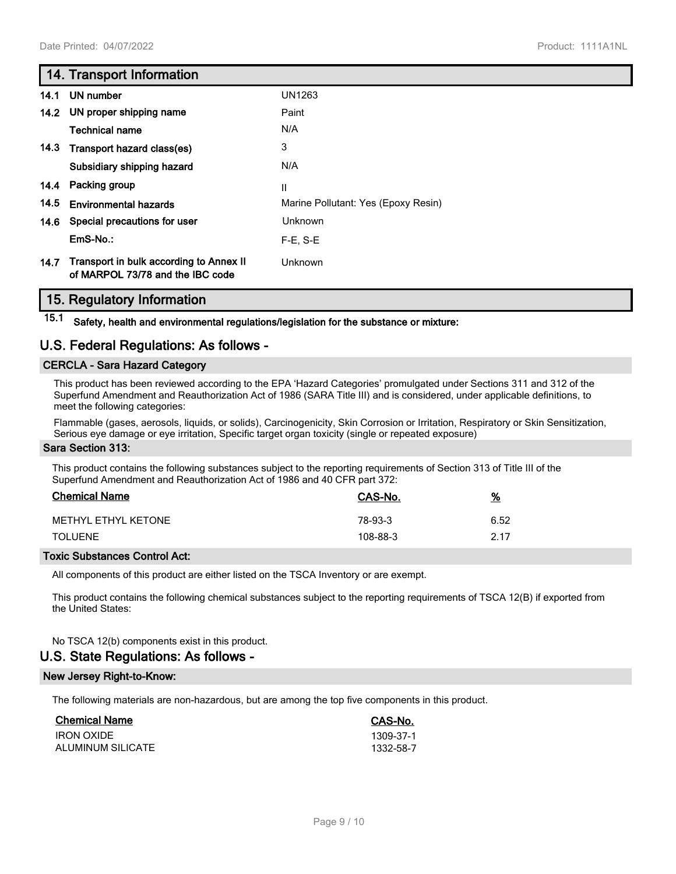# **14. Transport Information**

| 14.1 | UN number                                                                   | UN1263                              |
|------|-----------------------------------------------------------------------------|-------------------------------------|
|      | 14.2 UN proper shipping name                                                | Paint                               |
|      | Technical name                                                              | N/A                                 |
|      | 14.3 Transport hazard class(es)                                             | 3                                   |
|      | Subsidiary shipping hazard                                                  | N/A                                 |
| 14.4 | Packing group                                                               | $\mathsf{I}$                        |
| 14.5 | <b>Environmental hazards</b>                                                | Marine Pollutant: Yes (Epoxy Resin) |
| 14.6 | Special precautions for user                                                | Unknown                             |
|      | $EmS-No.$ :                                                                 | $F-E. S-E$                          |
| 14.7 | Transport in bulk according to Annex II<br>of MARPOL 73/78 and the IBC code | Unknown                             |

## **15. Regulatory Information**

**15.1 Safety, health and environmental regulations/legislation for the substance or mixture:**

# **U.S. Federal Regulations: As follows -**

## **CERCLA - Sara Hazard Category**

This product has been reviewed according to the EPA 'Hazard Categories' promulgated under Sections 311 and 312 of the Superfund Amendment and Reauthorization Act of 1986 (SARA Title III) and is considered, under applicable definitions, to meet the following categories:

Flammable (gases, aerosols, liquids, or solids), Carcinogenicity, Skin Corrosion or Irritation, Respiratory or Skin Sensitization, Serious eye damage or eye irritation, Specific target organ toxicity (single or repeated exposure)

#### **Sara Section 313:**

This product contains the following substances subject to the reporting requirements of Section 313 of Title III of the Superfund Amendment and Reauthorization Act of 1986 and 40 CFR part 372:

| <b>Chemical Name</b> | CAS-No.  | <u>%</u> |
|----------------------|----------|----------|
| METHYL ETHYL KETONE  | 78-93-3  | 6.52     |
| <b>TOLUENE</b>       | 108-88-3 | 2.17     |

#### **Toxic Substances Control Act:**

All components of this product are either listed on the TSCA Inventory or are exempt.

This product contains the following chemical substances subject to the reporting requirements of TSCA 12(B) if exported from the United States:

#### No TSCA 12(b) components exist in this product.

# **U.S. State Regulations: As follows -**

#### **New Jersey Right-to-Know:**

The following materials are non-hazardous, but are among the top five components in this product.

| <b>Chemical Name</b> | CAS-No.   |
|----------------------|-----------|
| <b>IRON OXIDE</b>    | 1309-37-1 |
| ALUMINUM SILICATE    | 1332-58-7 |